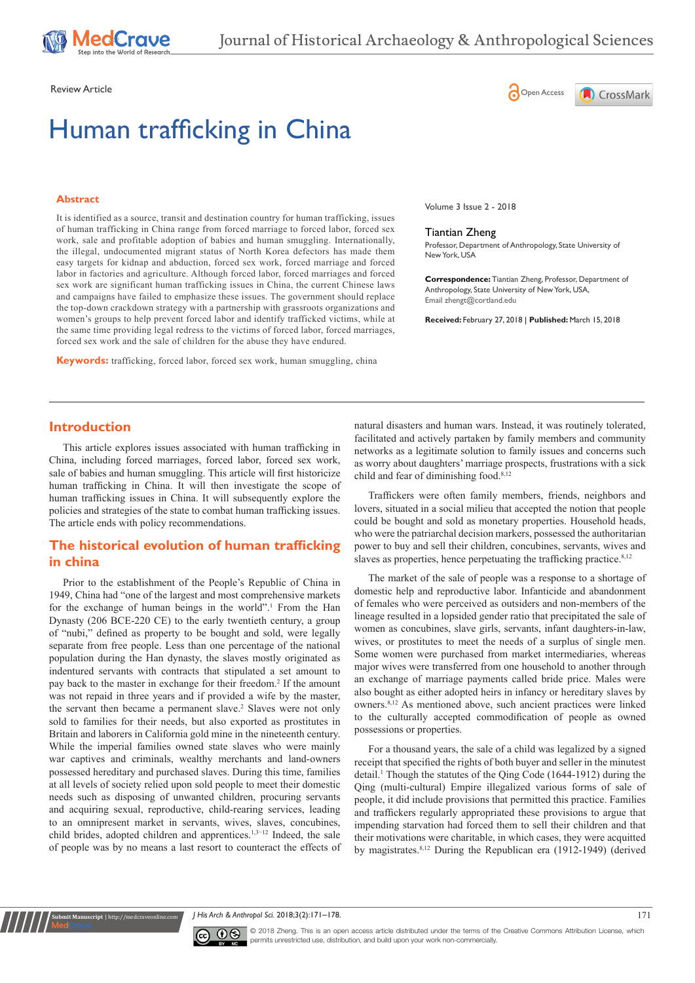Review Article **Contract Contract Contract Contract Contract Contract Contract Contract Contract Contract Contract Contract Contract Contract Contract Contract Contract Contract Contract Contract Contract Contract Contract** 

# Human trafficking in China

#### **Abstract**

It is identified as a source, transit and destination country for human trafficking, issues of human trafficking in China range from forced marriage to forced labor, forced sex work, sale and profitable adoption of babies and human smuggling. Internationally, the illegal, undocumented migrant status of North Korea defectors has made them easy targets for kidnap and abduction, forced sex work, forced marriage and forced labor in factories and agriculture. Although forced labor, forced marriages and forced sex work are significant human trafficking issues in China, the current Chinese laws and campaigns have failed to emphasize these issues. The government should replace the top-down crackdown strategy with a partnership with grassroots organizations and women's groups to help prevent forced labor and identify trafficked victims, while at the same time providing legal redress to the victims of forced labor, forced marriages, forced sex work and the sale of children for the abuse they have endured.

**Keywords:** trafficking, forced labor, forced sex work, human smuggling, china



Volume 3 Issue 2 - 2018

#### Tiantian Zheng

Professor, Department of Anthropology, State University of New York, USA

**Correspondence:** Tiantian Zheng, Professor, Department of Anthropology, State University of New York, USA, Email zhengt@cortland.edu

**Received:** February 27, 2018 | **Published:** March 15, 2018

## **Introduction**

**Submit Manuscript** | http://medcra

This article explores issues associated with human trafficking in China, including forced marriages, forced labor, forced sex work, sale of babies and human smuggling. This article will first historicize human trafficking in China. It will then investigate the scope of human trafficking issues in China. It will subsequently explore the policies and strategies of the state to combat human trafficking issues. The article ends with policy recommendations.

## **The historical evolution of human trafficking in china**

Prior to the establishment of the People's Republic of China in 1949, China had "one of the largest and most comprehensive markets for the exchange of human beings in the world".<sup>1</sup> From the Han Dynasty (206 BCE-220 CE) to the early twentieth century, a group of "nubi," defined as property to be bought and sold, were legally separate from free people. Less than one percentage of the national population during the Han dynasty, the slaves mostly originated as indentured servants with contracts that stipulated a set amount to pay back to the master in exchange for their freedom.<sup>2</sup> If the amount was not repaid in three years and if provided a wife by the master, the servant then became a permanent slave.<sup>2</sup> Slaves were not only sold to families for their needs, but also exported as prostitutes in Britain and laborers in California gold mine in the nineteenth century. While the imperial families owned state slaves who were mainly war captives and criminals, wealthy merchants and land-owners possessed hereditary and purchased slaves. During this time, families at all levels of society relied upon sold people to meet their domestic needs such as disposing of unwanted children, procuring servants and acquiring sexual, reproductive, child-rearing services, leading to an omnipresent market in servants, wives, slaves, concubines, child brides, adopted children and apprentices.<sup>1,3−12</sup> Indeed, the sale of people was by no means a last resort to counteract the effects of natural disasters and human wars. Instead, it was routinely tolerated, facilitated and actively partaken by family members and community networks as a legitimate solution to family issues and concerns such as worry about daughters' marriage prospects, frustrations with a sick child and fear of diminishing food.<sup>8,12</sup>

Traffickers were often family members, friends, neighbors and lovers, situated in a social milieu that accepted the notion that people could be bought and sold as monetary properties. Household heads, who were the patriarchal decision markers, possessed the authoritarian power to buy and sell their children, concubines, servants, wives and slaves as properties, hence perpetuating the trafficking practice.<sup>8,12</sup>

The market of the sale of people was a response to a shortage of domestic help and reproductive labor. Infanticide and abandonment of females who were perceived as outsiders and non-members of the lineage resulted in a lopsided gender ratio that precipitated the sale of women as concubines, slave girls, servants, infant daughters-in-law, wives, or prostitutes to meet the needs of a surplus of single men. Some women were purchased from market intermediaries, whereas major wives were transferred from one household to another through an exchange of marriage payments called bride price. Males were also bought as either adopted heirs in infancy or hereditary slaves by owners.8,12 As mentioned above, such ancient practices were linked to the culturally accepted commodification of people as owned possessions or properties.

For a thousand years, the sale of a child was legalized by a signed receipt that specified the rights of both buyer and seller in the minutest detail.<sup>1</sup> Though the statutes of the Qing Code (1644-1912) during the Qing (multi-cultural) Empire illegalized various forms of sale of people, it did include provisions that permitted this practice. Families and traffickers regularly appropriated these provisions to argue that impending starvation had forced them to sell their children and that their motivations were charitable, in which cases, they were acquitted by magistrates.<sup>8,12</sup> During the Republican era (1912-1949) (derived

*J His Arch & Anthropol Sci.* 2018;3(2):171–178.



© 2018 Zheng. This is an open access article distributed under the terms of the [Creative Commons Attribution License,](https://creativecommons.org/licenses/by-nc/4.0/) which permits unrestricted use, distribution, and build upon your work non-commercially.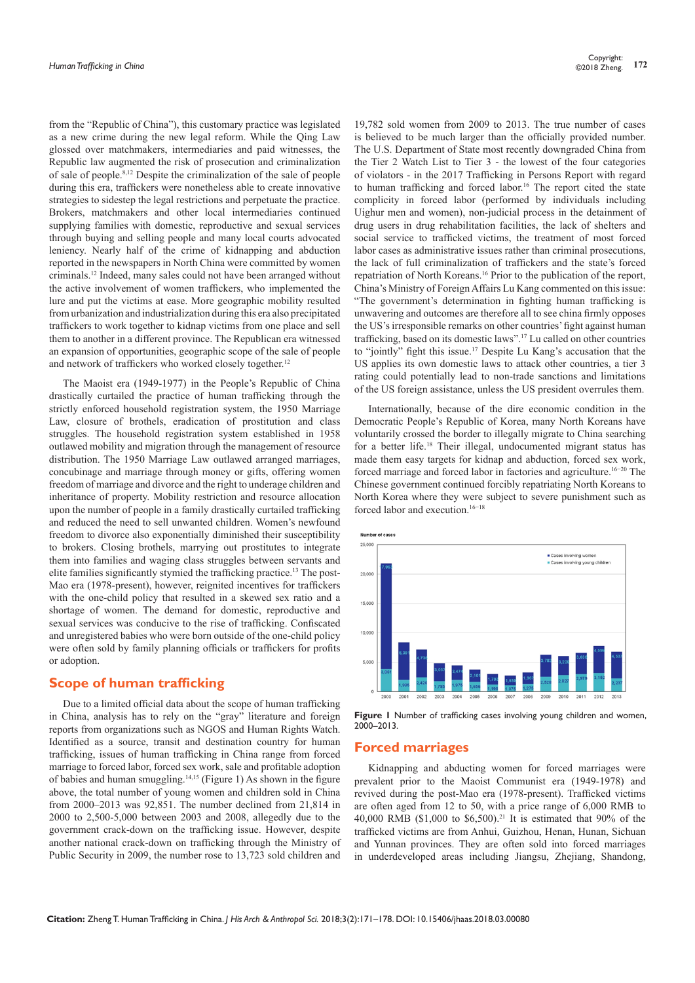from the "Republic of China"), this customary practice was legislated as a new crime during the new legal reform. While the Qing Law glossed over matchmakers, intermediaries and paid witnesses, the Republic law augmented the risk of prosecution and criminalization of sale of people.8,12 Despite the criminalization of the sale of people during this era, traffickers were nonetheless able to create innovative strategies to sidestep the legal restrictions and perpetuate the practice. Brokers, matchmakers and other local intermediaries continued supplying families with domestic, reproductive and sexual services through buying and selling people and many local courts advocated leniency. Nearly half of the crime of kidnapping and abduction reported in the newspapers in North China were committed by women criminals.12 Indeed, many sales could not have been arranged without the active involvement of women traffickers, who implemented the lure and put the victims at ease. More geographic mobility resulted from urbanization and industrialization during this era also precipitated traffickers to work together to kidnap victims from one place and sell them to another in a different province. The Republican era witnessed an expansion of opportunities, geographic scope of the sale of people and network of traffickers who worked closely together.<sup>12</sup>

The Maoist era (1949-1977) in the People's Republic of China drastically curtailed the practice of human trafficking through the strictly enforced household registration system, the 1950 Marriage Law, closure of brothels, eradication of prostitution and class struggles. The household registration system established in 1958 outlawed mobility and migration through the management of resource distribution. The 1950 Marriage Law outlawed arranged marriages, concubinage and marriage through money or gifts, offering women freedom of marriage and divorce and the right to underage children and inheritance of property. Mobility restriction and resource allocation upon the number of people in a family drastically curtailed trafficking and reduced the need to sell unwanted children. Women's newfound freedom to divorce also exponentially diminished their susceptibility to brokers. Closing brothels, marrying out prostitutes to integrate them into families and waging class struggles between servants and elite families significantly stymied the trafficking practice.13 The post-Mao era (1978-present), however, reignited incentives for traffickers with the one-child policy that resulted in a skewed sex ratio and a shortage of women. The demand for domestic, reproductive and sexual services was conducive to the rise of trafficking. Confiscated and unregistered babies who were born outside of the one-child policy were often sold by family planning officials or traffickers for profits or adoption.

## **Scope of human trafficking**

Due to a limited official data about the scope of human trafficking in China, analysis has to rely on the "gray" literature and foreign reports from organizations such as NGOS and Human Rights Watch. Identified as a source, transit and destination country for human trafficking, issues of human trafficking in China range from forced marriage to forced labor, forced sex work, sale and profitable adoption of babies and human smuggling.14,15 (Figure 1) As shown in the figure above, the total number of young women and children sold in China from 2000–2013 was 92,851. The number declined from 21,814 in 2000 to 2,500-5,000 between 2003 and 2008, allegedly due to the government crack-down on the trafficking issue. However, despite another national crack-down on trafficking through the Ministry of Public Security in 2009, the number rose to 13,723 sold children and 19,782 sold women from 2009 to 2013. The true number of cases is believed to be much larger than the officially provided number. The U.S. Department of State most recently downgraded China from the Tier 2 Watch List to Tier 3 - the lowest of the four categories of violators - in the 2017 Trafficking in Persons Report with regard to human trafficking and forced labor.<sup>16</sup> The report cited the state complicity in forced labor (performed by individuals including Uighur men and women), non-judicial process in the detainment of drug users in drug rehabilitation facilities, the lack of shelters and social service to trafficked victims, the treatment of most forced labor cases as administrative issues rather than criminal prosecutions, the lack of full criminalization of traffickers and the state's forced repatriation of North Koreans.16 Prior to the publication of the report, China's Ministry of Foreign Affairs Lu Kang commented on this issue: "The government's determination in fighting human trafficking is unwavering and outcomes are therefore all to see china firmly opposes the US's irresponsible remarks on other countries' fight against human trafficking, based on its domestic laws".<sup>17</sup> Lu called on other countries to "jointly" fight this issue.<sup>17</sup> Despite Lu Kang's accusation that the US applies its own domestic laws to attack other countries, a tier 3 rating could potentially lead to non-trade sanctions and limitations of the US foreign assistance, unless the US president overrules them.

Internationally, because of the dire economic condition in the Democratic People's Republic of Korea, many North Koreans have voluntarily crossed the border to illegally migrate to China searching for a better life.<sup>18</sup> Their illegal, undocumented migrant status has made them easy targets for kidnap and abduction, forced sex work, forced marriage and forced labor in factories and agriculture.16−20 The Chinese government continued forcibly repatriating North Koreans to North Korea where they were subject to severe punishment such as forced labor and execution.16−18





#### **Forced marriages**

Kidnapping and abducting women for forced marriages were prevalent prior to the Maoist Communist era (1949-1978) and revived during the post-Mao era (1978-present). Trafficked victims are often aged from 12 to 50, with a price range of 6,000 RMB to 40,000 RMB (\$1,000 to \$6,500).21 It is estimated that 90% of the trafficked victims are from Anhui, Guizhou, Henan, Hunan, Sichuan and Yunnan provinces. They are often sold into forced marriages in underdeveloped areas including Jiangsu, Zhejiang, Shandong,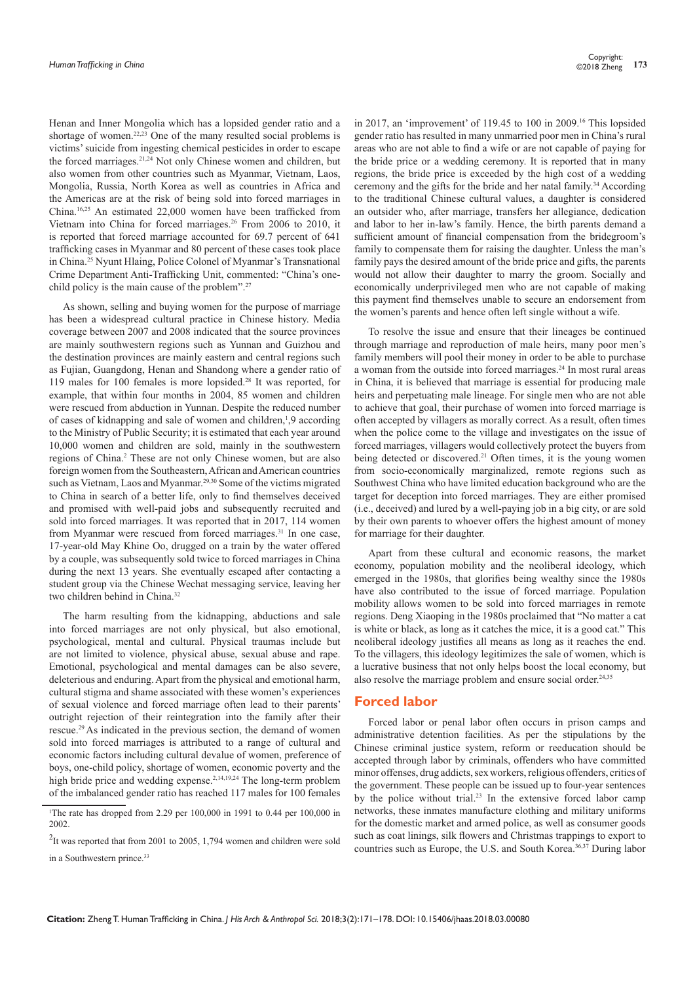Henan and Inner Mongolia which has a lopsided gender ratio and a shortage of women.<sup>22,23</sup> One of the many resulted social problems is victims' suicide from ingesting chemical pesticides in order to escape the forced marriages.21,24 Not only Chinese women and children, but also women from other countries such as Myanmar, Vietnam, Laos, Mongolia, Russia, North Korea as well as countries in Africa and the Americas are at the risk of being sold into forced marriages in China.16,25 An estimated 22,000 women have been trafficked from Vietnam into China for forced marriages.26 From 2006 to 2010, it is reported that forced marriage accounted for 69.7 percent of 641 trafficking cases in Myanmar and 80 percent of these cases took place in China.25 Nyunt Hlaing, Police Colonel of Myanmar's Transnational Crime Department Anti-Trafficking Unit, commented: "China's onechild policy is the main cause of the problem".27

As shown, selling and buying women for the purpose of marriage has been a widespread cultural practice in Chinese history. Media coverage between 2007 and 2008 indicated that the source provinces are mainly southwestern regions such as Yunnan and Guizhou and the destination provinces are mainly eastern and central regions such as Fujian, Guangdong, Henan and Shandong where a gender ratio of 119 males for 100 females is more lopsided.<sup>28</sup> It was reported, for example, that within four months in 2004, 85 women and children were rescued from abduction in Yunnan. Despite the reduced number of cases of kidnapping and sale of women and children,<sup>1</sup>,9 according to the Ministry of Public Security; it is estimated that each year around 10,000 women and children are sold, mainly in the southwestern regions of China.<sup>2</sup> These are not only Chinese women, but are also foreign women from the Southeastern, African and American countries such as Vietnam, Laos and Myanmar.<sup>29,30</sup> Some of the victims migrated to China in search of a better life, only to find themselves deceived and promised with well-paid jobs and subsequently recruited and sold into forced marriages. It was reported that in 2017, 114 women from Myanmar were rescued from forced marriages.<sup>31</sup> In one case, 17-year-old May Khine Oo, drugged on a train by the water offered by a couple, was subsequently sold twice to forced marriages in China during the next 13 years. She eventually escaped after contacting a student group via the Chinese Wechat messaging service, leaving her two children behind in China.<sup>32</sup>

The harm resulting from the kidnapping, abductions and sale into forced marriages are not only physical, but also emotional, psychological, mental and cultural. Physical traumas include but are not limited to violence, physical abuse, sexual abuse and rape. Emotional, psychological and mental damages can be also severe, deleterious and enduring. Apart from the physical and emotional harm, cultural stigma and shame associated with these women's experiences of sexual violence and forced marriage often lead to their parents' outright rejection of their reintegration into the family after their rescue.29 As indicated in the previous section, the demand of women sold into forced marriages is attributed to a range of cultural and economic factors including cultural devalue of women, preference of boys, one-child policy, shortage of women, economic poverty and the high bride price and wedding expense.<sup>2,14,19,24</sup> The long-term problem of the imbalanced gender ratio has reached 117 males for 100 females

in 2017, an 'improvement' of 119.45 to 100 in 2009.16 This lopsided gender ratio has resulted in many unmarried poor men in China's rural areas who are not able to find a wife or are not capable of paying for the bride price or a wedding ceremony. It is reported that in many regions, the bride price is exceeded by the high cost of a wedding ceremony and the gifts for the bride and her natal family.<sup>34</sup> According to the traditional Chinese cultural values, a daughter is considered an outsider who, after marriage, transfers her allegiance, dedication and labor to her in-law's family. Hence, the birth parents demand a sufficient amount of financial compensation from the bridegroom's family to compensate them for raising the daughter. Unless the man's family pays the desired amount of the bride price and gifts, the parents would not allow their daughter to marry the groom. Socially and economically underprivileged men who are not capable of making this payment find themselves unable to secure an endorsement from the women's parents and hence often left single without a wife.

To resolve the issue and ensure that their lineages be continued through marriage and reproduction of male heirs, many poor men's family members will pool their money in order to be able to purchase a woman from the outside into forced marriages.<sup>24</sup> In most rural areas in China, it is believed that marriage is essential for producing male heirs and perpetuating male lineage. For single men who are not able to achieve that goal, their purchase of women into forced marriage is often accepted by villagers as morally correct. As a result, often times when the police come to the village and investigates on the issue of forced marriages, villagers would collectively protect the buyers from being detected or discovered.<sup>21</sup> Often times, it is the young women from socio-economically marginalized, remote regions such as Southwest China who have limited education background who are the target for deception into forced marriages. They are either promised (i.e., deceived) and lured by a well-paying job in a big city, or are sold by their own parents to whoever offers the highest amount of money for marriage for their daughter.

Apart from these cultural and economic reasons, the market economy, population mobility and the neoliberal ideology, which emerged in the 1980s, that glorifies being wealthy since the 1980s have also contributed to the issue of forced marriage. Population mobility allows women to be sold into forced marriages in remote regions. Deng Xiaoping in the 1980s proclaimed that "No matter a cat is white or black, as long as it catches the mice, it is a good cat." This neoliberal ideology justifies all means as long as it reaches the end. To the villagers, this ideology legitimizes the sale of women, which is a lucrative business that not only helps boost the local economy, but also resolve the marriage problem and ensure social order.<sup>24,35</sup>

## **Forced labor**

Forced labor or penal labor often occurs in prison camps and administrative detention facilities. As per the stipulations by the Chinese criminal justice system, reform or reeducation should be accepted through labor by criminals, offenders who have committed minor offenses, drug addicts, sex workers, religious offenders, critics of the government. These people can be issued up to four-year sentences by the police without trial.<sup>23</sup> In the extensive forced labor camp networks, these inmates manufacture clothing and military uniforms for the domestic market and armed police, as well as consumer goods such as coat linings, silk flowers and Christmas trappings to export to countries such as Europe, the U.S. and South Korea.<sup>36,37</sup> During labor

<sup>&</sup>lt;sup>1</sup>The rate has dropped from 2.29 per 100,000 in 1991 to 0.44 per 100,000 in 2002.

<sup>&</sup>lt;sup>2</sup>It was reported that from 2001 to 2005, 1,794 women and children were sold in a Southwestern prince.<sup>33</sup>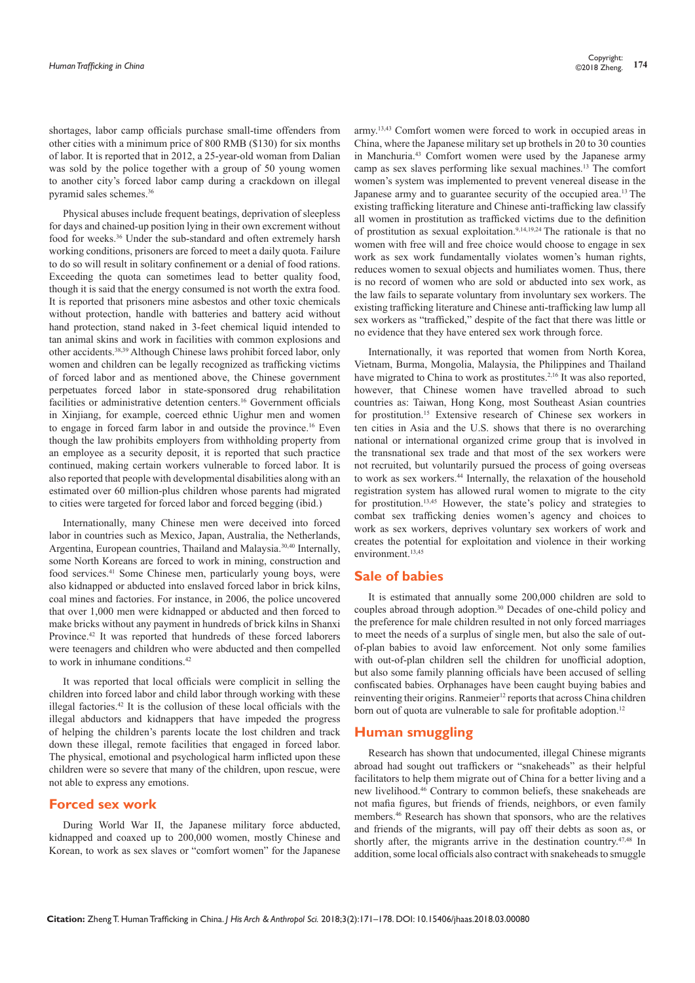shortages, labor camp officials purchase small-time offenders from other cities with a minimum price of 800 RMB (\$130) for six months of labor. It is reported that in 2012, a 25-year-old woman from Dalian was sold by the police together with a group of 50 young women to another city's forced labor camp during a crackdown on illegal pyramid sales schemes.36

Physical abuses include frequent beatings, deprivation of sleepless for days and chained-up position lying in their own excrement without food for weeks.<sup>36</sup> Under the sub-standard and often extremely harsh working conditions, prisoners are forced to meet a daily quota. Failure to do so will result in solitary confinement or a denial of food rations. Exceeding the quota can sometimes lead to better quality food, though it is said that the energy consumed is not worth the extra food. It is reported that prisoners mine asbestos and other toxic chemicals without protection, handle with batteries and battery acid without hand protection, stand naked in 3-feet chemical liquid intended to tan animal skins and work in facilities with common explosions and other accidents.38,39 Although Chinese laws prohibit forced labor, only women and children can be legally recognized as trafficking victims of forced labor and as mentioned above, the Chinese government perpetuates forced labor in state-sponsored drug rehabilitation facilities or administrative detention centers.<sup>16</sup> Government officials in Xinjiang, for example, coerced ethnic Uighur men and women to engage in forced farm labor in and outside the province.16 Even though the law prohibits employers from withholding property from an employee as a security deposit, it is reported that such practice continued, making certain workers vulnerable to forced labor. It is also reported that people with developmental disabilities along with an estimated over 60 million-plus children whose parents had migrated to cities were targeted for forced labor and forced begging (ibid.)

Internationally, many Chinese men were deceived into forced labor in countries such as Mexico, Japan, Australia, the Netherlands, Argentina, European countries, Thailand and Malaysia.30,40 Internally, some North Koreans are forced to work in mining, construction and food services.<sup>41</sup> Some Chinese men, particularly young boys, were also kidnapped or abducted into enslaved forced labor in brick kilns, coal mines and factories. For instance, in 2006, the police uncovered that over 1,000 men were kidnapped or abducted and then forced to make bricks without any payment in hundreds of brick kilns in Shanxi Province.<sup>42</sup> It was reported that hundreds of these forced laborers were teenagers and children who were abducted and then compelled to work in inhumane conditions.<sup>42</sup>

It was reported that local officials were complicit in selling the children into forced labor and child labor through working with these illegal factories.42 It is the collusion of these local officials with the illegal abductors and kidnappers that have impeded the progress of helping the children's parents locate the lost children and track down these illegal, remote facilities that engaged in forced labor. The physical, emotional and psychological harm inflicted upon these children were so severe that many of the children, upon rescue, were not able to express any emotions.

#### **Forced sex work**

During World War II, the Japanese military force abducted, kidnapped and coaxed up to 200,000 women, mostly Chinese and Korean, to work as sex slaves or "comfort women" for the Japanese army.13,43 Comfort women were forced to work in occupied areas in China, where the Japanese military set up brothels in 20 to 30 counties in Manchuria.<sup>43</sup> Comfort women were used by the Japanese army camp as sex slaves performing like sexual machines.13 The comfort women's system was implemented to prevent venereal disease in the Japanese army and to guarantee security of the occupied area.<sup>13</sup> The existing trafficking literature and Chinese anti-trafficking law classify all women in prostitution as trafficked victims due to the definition of prostitution as sexual exploitation.9,14,19,24 The rationale is that no women with free will and free choice would choose to engage in sex work as sex work fundamentally violates women's human rights, reduces women to sexual objects and humiliates women. Thus, there is no record of women who are sold or abducted into sex work, as the law fails to separate voluntary from involuntary sex workers. The existing trafficking literature and Chinese anti-trafficking law lump all sex workers as "trafficked," despite of the fact that there was little or no evidence that they have entered sex work through force.

Internationally, it was reported that women from North Korea, Vietnam, Burma, Mongolia, Malaysia, the Philippines and Thailand have migrated to China to work as prostitutes.<sup>2,16</sup> It was also reported, however, that Chinese women have travelled abroad to such countries as: Taiwan, Hong Kong, most Southeast Asian countries for prostitution.15 Extensive research of Chinese sex workers in ten cities in Asia and the U.S. shows that there is no overarching national or international organized crime group that is involved in the transnational sex trade and that most of the sex workers were not recruited, but voluntarily pursued the process of going overseas to work as sex workers.<sup>44</sup> Internally, the relaxation of the household registration system has allowed rural women to migrate to the city for prostitution.13,45 However, the state's policy and strategies to combat sex trafficking denies women's agency and choices to work as sex workers, deprives voluntary sex workers of work and creates the potential for exploitation and violence in their working environment.<sup>13,45</sup>

#### **Sale of babies**

It is estimated that annually some 200,000 children are sold to couples abroad through adoption.<sup>30</sup> Decades of one-child policy and the preference for male children resulted in not only forced marriages to meet the needs of a surplus of single men, but also the sale of outof-plan babies to avoid law enforcement. Not only some families with out-of-plan children sell the children for unofficial adoption, but also some family planning officials have been accused of selling confiscated babies. Orphanages have been caught buying babies and reinventing their origins. Ranmeier<sup>12</sup> reports that across China children born out of quota are vulnerable to sale for profitable adoption.<sup>12</sup>

## **Human smuggling**

Research has shown that undocumented, illegal Chinese migrants abroad had sought out traffickers or "snakeheads" as their helpful facilitators to help them migrate out of China for a better living and a new livelihood.46 Contrary to common beliefs, these snakeheads are not mafia figures, but friends of friends, neighbors, or even family members.46 Research has shown that sponsors, who are the relatives and friends of the migrants, will pay off their debts as soon as, or shortly after, the migrants arrive in the destination country.<sup>47,48</sup> In addition, some local officials also contract with snakeheads to smuggle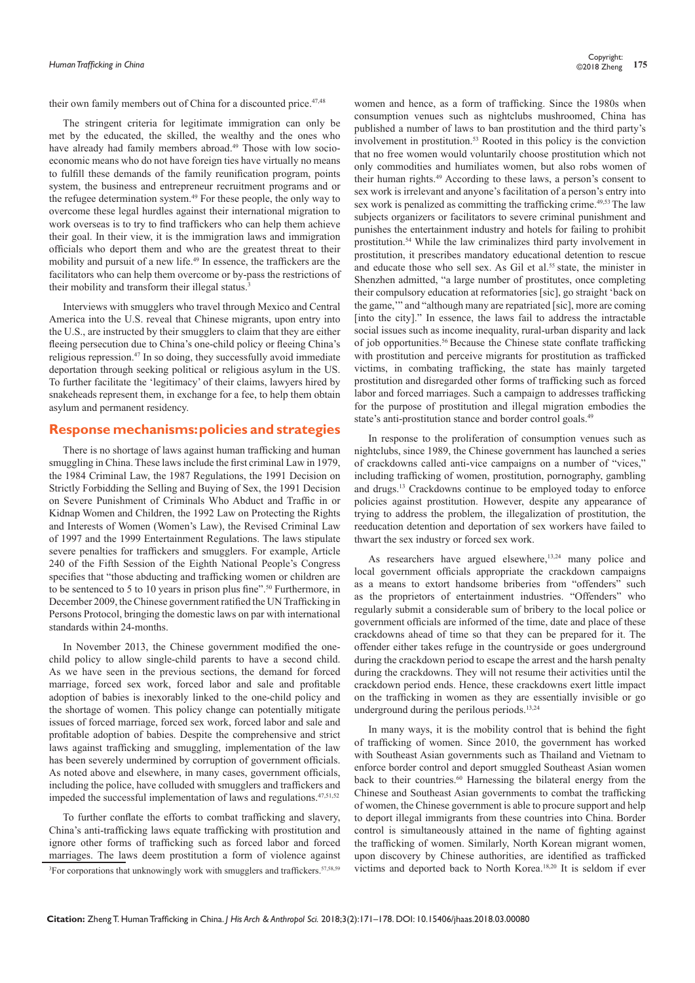their own family members out of China for a discounted price.<sup>47,48</sup>

The stringent criteria for legitimate immigration can only be met by the educated, the skilled, the wealthy and the ones who have already had family members abroad.<sup>49</sup> Those with low socioeconomic means who do not have foreign ties have virtually no means to fulfill these demands of the family reunification program, points system, the business and entrepreneur recruitment programs and or the refugee determination system.<sup>49</sup> For these people, the only way to overcome these legal hurdles against their international migration to work overseas is to try to find traffickers who can help them achieve their goal. In their view, it is the immigration laws and immigration officials who deport them and who are the greatest threat to their mobility and pursuit of a new life.<sup>49</sup> In essence, the traffickers are the facilitators who can help them overcome or by-pass the restrictions of their mobility and transform their illegal status.<sup>3</sup>

Interviews with smugglers who travel through Mexico and Central America into the U.S. reveal that Chinese migrants, upon entry into the U.S., are instructed by their smugglers to claim that they are either fleeing persecution due to China's one-child policy or fleeing China's religious repression.<sup>47</sup> In so doing, they successfully avoid immediate deportation through seeking political or religious asylum in the US. To further facilitate the 'legitimacy' of their claims, lawyers hired by snakeheads represent them, in exchange for a fee, to help them obtain asylum and permanent residency.

## **Response mechanisms: policies and strategies**

There is no shortage of laws against human trafficking and human smuggling in China. These laws include the first criminal Law in 1979, the 1984 Criminal Law, the 1987 Regulations, the 1991 Decision on Strictly Forbidding the Selling and Buying of Sex, the 1991 Decision on Severe Punishment of Criminals Who Abduct and Traffic in or Kidnap Women and Children, the 1992 Law on Protecting the Rights and Interests of Women (Women's Law), the Revised Criminal Law of 1997 and the 1999 Entertainment Regulations. The laws stipulate severe penalties for traffickers and smugglers. For example, Article 240 of the Fifth Session of the Eighth National People's Congress specifies that "those abducting and trafficking women or children are to be sentenced to 5 to 10 years in prison plus fine".50 Furthermore, in December 2009, the Chinese government ratified the UN Trafficking in Persons Protocol, bringing the domestic laws on par with international standards within 24-months.

In November 2013, the Chinese government modified the onechild policy to allow single-child parents to have a second child. As we have seen in the previous sections, the demand for forced marriage, forced sex work, forced labor and sale and profitable adoption of babies is inexorably linked to the one-child policy and the shortage of women. This policy change can potentially mitigate issues of forced marriage, forced sex work, forced labor and sale and profitable adoption of babies. Despite the comprehensive and strict laws against trafficking and smuggling, implementation of the law has been severely undermined by corruption of government officials. As noted above and elsewhere, in many cases, government officials, including the police, have colluded with smugglers and traffickers and impeded the successful implementation of laws and regulations.47,51,52

To further conflate the efforts to combat trafficking and slavery, China's anti-trafficking laws equate trafficking with prostitution and ignore other forms of trafficking such as forced labor and forced marriages. The laws deem prostitution a form of violence against <sup>3</sup>For corporations that unknowingly work with smugglers and traffickers.<sup>57,58,59</sup>

women and hence, as a form of trafficking. Since the 1980s when consumption venues such as nightclubs mushroomed, China has published a number of laws to ban prostitution and the third party's involvement in prostitution.53 Rooted in this policy is the conviction that no free women would voluntarily choose prostitution which not only commodities and humiliates women, but also robs women of their human rights.<sup>49</sup> According to these laws, a person's consent to sex work is irrelevant and anyone's facilitation of a person's entry into sex work is penalized as committing the trafficking crime.<sup>49,53</sup> The law subjects organizers or facilitators to severe criminal punishment and punishes the entertainment industry and hotels for failing to prohibit prostitution.54 While the law criminalizes third party involvement in prostitution, it prescribes mandatory educational detention to rescue and educate those who sell sex. As Gil et al.<sup>55</sup> state, the minister in Shenzhen admitted, "a large number of prostitutes, once completing their compulsory education at reformatories [sic], go straight 'back on the game,'" and "although many are repatriated [sic], more are coming [into the city]." In essence, the laws fail to address the intractable social issues such as income inequality, rural-urban disparity and lack of job opportunities.56 Because the Chinese state conflate trafficking with prostitution and perceive migrants for prostitution as trafficked victims, in combating trafficking, the state has mainly targeted prostitution and disregarded other forms of trafficking such as forced labor and forced marriages. Such a campaign to addresses trafficking for the purpose of prostitution and illegal migration embodies the state's anti-prostitution stance and border control goals.<sup>49</sup>

In response to the proliferation of consumption venues such as nightclubs, since 1989, the Chinese government has launched a series of crackdowns called anti-vice campaigns on a number of "vices," including trafficking of women, prostitution, pornography, gambling and drugs.<sup>13</sup> Crackdowns continue to be employed today to enforce policies against prostitution. However, despite any appearance of trying to address the problem, the illegalization of prostitution, the reeducation detention and deportation of sex workers have failed to thwart the sex industry or forced sex work.

As researchers have argued elsewhere,<sup>13,24</sup> many police and local government officials appropriate the crackdown campaigns as a means to extort handsome briberies from "offenders" such as the proprietors of entertainment industries. "Offenders" who regularly submit a considerable sum of bribery to the local police or government officials are informed of the time, date and place of these crackdowns ahead of time so that they can be prepared for it. The offender either takes refuge in the countryside or goes underground during the crackdown period to escape the arrest and the harsh penalty during the crackdowns. They will not resume their activities until the crackdown period ends. Hence, these crackdowns exert little impact on the trafficking in women as they are essentially invisible or go underground during the perilous periods.<sup>13,24</sup>

In many ways, it is the mobility control that is behind the fight of trafficking of women. Since 2010, the government has worked with Southeast Asian governments such as Thailand and Vietnam to enforce border control and deport smuggled Southeast Asian women back to their countries.<sup>60</sup> Harnessing the bilateral energy from the Chinese and Southeast Asian governments to combat the trafficking of women, the Chinese government is able to procure support and help to deport illegal immigrants from these countries into China. Border control is simultaneously attained in the name of fighting against the trafficking of women. Similarly, North Korean migrant women, upon discovery by Chinese authorities, are identified as trafficked victims and deported back to North Korea.18,20 It is seldom if ever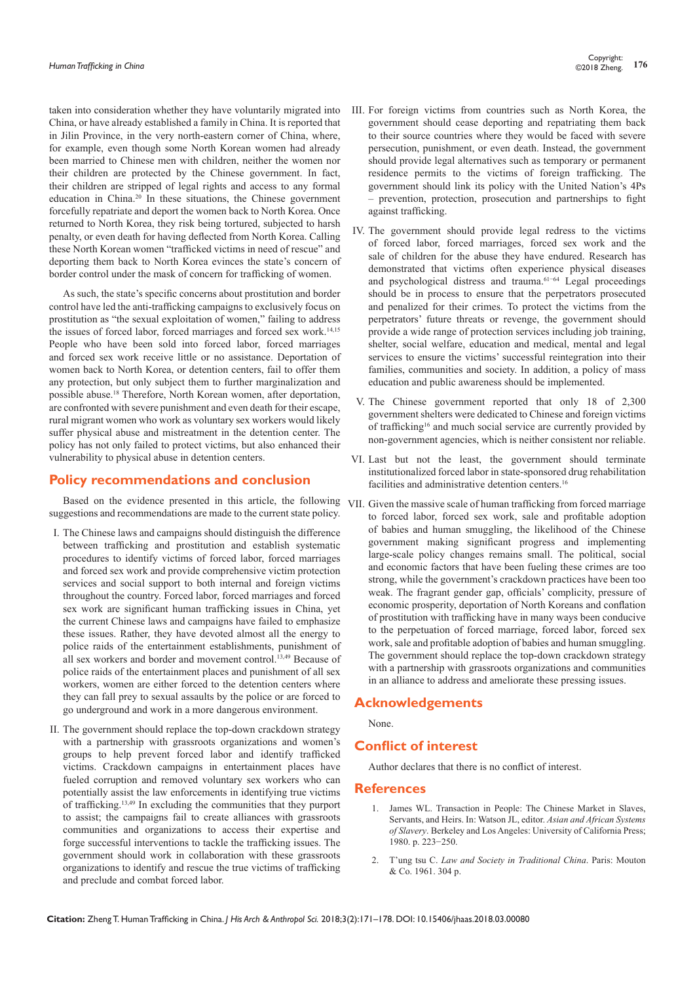taken into consideration whether they have voluntarily migrated into China, or have already established a family in China. It is reported that in Jilin Province, in the very north-eastern corner of China, where, for example, even though some North Korean women had already been married to Chinese men with children, neither the women nor their children are protected by the Chinese government. In fact, their children are stripped of legal rights and access to any formal education in China.20 In these situations, the Chinese government forcefully repatriate and deport the women back to North Korea. Once returned to North Korea, they risk being tortured, subjected to harsh penalty, or even death for having deflected from North Korea. Calling these North Korean women "trafficked victims in need of rescue" and deporting them back to North Korea evinces the state's concern of border control under the mask of concern for trafficking of women.

As such, the state's specific concerns about prostitution and border control have led the anti-trafficking campaigns to exclusively focus on prostitution as "the sexual exploitation of women," failing to address the issues of forced labor, forced marriages and forced sex work.<sup>14,15</sup> People who have been sold into forced labor, forced marriages and forced sex work receive little or no assistance. Deportation of women back to North Korea, or detention centers, fail to offer them any protection, but only subject them to further marginalization and possible abuse.<sup>18</sup> Therefore, North Korean women, after deportation, are confronted with severe punishment and even death for their escape, rural migrant women who work as voluntary sex workers would likely suffer physical abuse and mistreatment in the detention center. The policy has not only failed to protect victims, but also enhanced their vulnerability to physical abuse in detention centers.

## **Policy recommendations and conclusion**

Based on the evidence presented in this article, the following VII. Given the massive scale of human trafficking from forced marriage suggestions and recommendations are made to the current state policy.

- I. The Chinese laws and campaigns should distinguish the difference between trafficking and prostitution and establish systematic procedures to identify victims of forced labor, forced marriages and forced sex work and provide comprehensive victim protection services and social support to both internal and foreign victims throughout the country. Forced labor, forced marriages and forced sex work are significant human trafficking issues in China, yet the current Chinese laws and campaigns have failed to emphasize these issues. Rather, they have devoted almost all the energy to police raids of the entertainment establishments, punishment of all sex workers and border and movement control.<sup>13,49</sup> Because of police raids of the entertainment places and punishment of all sex workers, women are either forced to the detention centers where they can fall prey to sexual assaults by the police or are forced to go underground and work in a more dangerous environment.
- II. The government should replace the top-down crackdown strategy with a partnership with grassroots organizations and women's groups to help prevent forced labor and identify trafficked victims. Crackdown campaigns in entertainment places have fueled corruption and removed voluntary sex workers who can potentially assist the law enforcements in identifying true victims of trafficking.13,49 In excluding the communities that they purport to assist; the campaigns fail to create alliances with grassroots communities and organizations to access their expertise and forge successful interventions to tackle the trafficking issues. The government should work in collaboration with these grassroots organizations to identify and rescue the true victims of trafficking and preclude and combat forced labor.
- III. For foreign victims from countries such as North Korea, the government should cease deporting and repatriating them back to their source countries where they would be faced with severe persecution, punishment, or even death. Instead, the government should provide legal alternatives such as temporary or permanent residence permits to the victims of foreign trafficking. The government should link its policy with the United Nation's 4Ps – prevention, protection, prosecution and partnerships to fight against trafficking.
- IV. The government should provide legal redress to the victims of forced labor, forced marriages, forced sex work and the sale of children for the abuse they have endured. Research has demonstrated that victims often experience physical diseases and psychological distress and trauma.<sup>61–64</sup> Legal proceedings should be in process to ensure that the perpetrators prosecuted and penalized for their crimes. To protect the victims from the perpetrators' future threats or revenge, the government should provide a wide range of protection services including job training, shelter, social welfare, education and medical, mental and legal services to ensure the victims' successful reintegration into their families, communities and society. In addition, a policy of mass education and public awareness should be implemented.
- V. The Chinese government reported that only 18 of 2,300 government shelters were dedicated to Chinese and foreign victims of trafficking16 and much social service are currently provided by non-government agencies, which is neither consistent nor reliable.
- VI. Last but not the least, the government should terminate institutionalized forced labor in state-sponsored drug rehabilitation facilities and administrative detention centers.<sup>16</sup>
- to forced labor, forced sex work, sale and profitable adoption of babies and human smuggling, the likelihood of the Chinese government making significant progress and implementing large-scale policy changes remains small. The political, social and economic factors that have been fueling these crimes are too strong, while the government's crackdown practices have been too weak. The fragrant gender gap, officials' complicity, pressure of economic prosperity, deportation of North Koreans and conflation of prostitution with trafficking have in many ways been conducive to the perpetuation of forced marriage, forced labor, forced sex work, sale and profitable adoption of babies and human smuggling. The government should replace the top-down crackdown strategy with a partnership with grassroots organizations and communities in an alliance to address and ameliorate these pressing issues.

## **Acknowledgements**

None.

# **Conflict of interest**

Author declares that there is no conflict of interest.

#### **References**

- 1. James WL. Transaction in People: The Chinese Market in Slaves, Servants, and Heirs. In: Watson JL, editor. *Asian and African Systems of Slavery*. Berkeley and Los Angeles: University of California Press; 1980. p. 223−250.
- 2. T'ung tsu C. *[Law and Society in Traditional China](http://home.uchicago.edu/aabbott/barbpapers/barbqu.pdf)*. Paris: Mouton [& Co. 1961. 304 p.](http://home.uchicago.edu/aabbott/barbpapers/barbqu.pdf)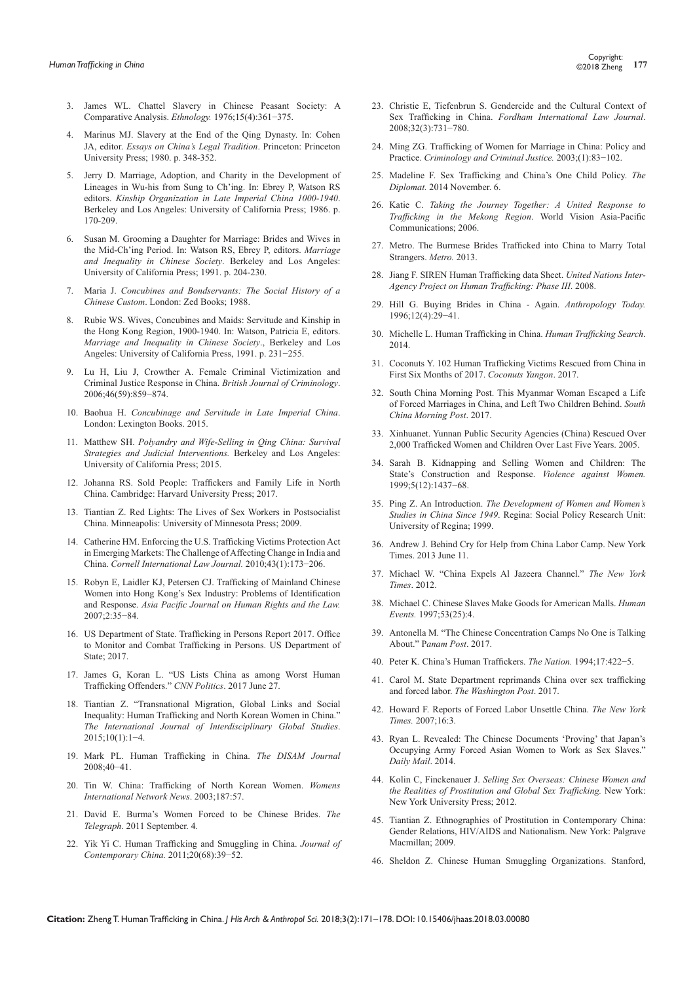- 3. James WL. Chattel Slavery in Chinese Peasant Society: A Comparative Analysis. *Ethnology.* 1976;15(4):361−375.
- 4. Marinus MJ. Slavery at the End of the Qing Dynasty. In: Cohen JA, editor. *Essays on China's Legal Tradition*. Princeton: Princeton University Press; 1980. p. 348-352.
- 5. Jerry D. Marriage, Adoption, and Charity in the Development of Lineages in Wu-his from Sung to Ch'ing. In: Ebrey P, Watson RS editors. *Kinship Organization in Late Imperial China 1000-1940*. Berkeley and Los Angeles: University of California Press; 1986. p. 170-209.
- 6. Susan M. Grooming a Daughter for Marriage: Brides and Wives in the Mid-Ch'ing Period. In: Watson RS, Ebrey P, editors. *Marriage and Inequality in Chinese Society*. Berkeley and Los Angeles: University of California Press; 1991. p. 204-230.
- 7. Maria J. *Concubines and Bondservants: The Social History of a Chinese Custom*. London: Zed Books; 1988.
- 8. [Rubie WS. Wives, Concubines and Maids: Servitude and Kinship in](file:///C:\Users\viswas\Desktop\JHAAS-263\oxfordindex.oup.com\view\10.1525\california\9780520069305.003.0008)  [the Hong Kong Region, 1900-1940. In: Watson, Patricia E, editors.](file:///C:\Users\viswas\Desktop\JHAAS-263\oxfordindex.oup.com\view\10.1525\california\9780520069305.003.0008)  *[Marriage and Inequality in Chinese Society](file:///C:\Users\viswas\Desktop\JHAAS-263\oxfordindex.oup.com\view\10.1525\california\9780520069305.003.0008)*., Berkeley and Los [Angeles: University of California Press, 1991. p. 231−255.](file:///C:\Users\viswas\Desktop\JHAAS-263\oxfordindex.oup.com\view\10.1525\california\9780520069305.003.0008)
- 9. Lu H, Liu J, Crowther A. Female Criminal Victimization and Criminal Justice Response in China. *British Journal of Criminology*. 2006;46(59):859−874.
- 10. Baohua H. *Concubinage and Servitude in Late Imperial China*. London: Lexington Books. 2015.
- 11. Matthew SH. *Polyandry and Wife-Selling in Qing China: Survival Strategies and Judicial Interventions.* Berkeley and Los Angeles: University of California Press; 2015.
- 12. [Johanna RS. Sold People: Traffickers and Family Life in North](https://www.jstor.org/stable/j.ctt1n2ttz4)  China. [Cambridge: Harvard University Press; 2017.](https://www.jstor.org/stable/j.ctt1n2ttz4)
- 13. Tiantian Z. Red Lights: The Lives of Sex Workers in Postsocialist China. Minneapolis: University of Minnesota Press; 2009.
- 14. [Catherine HM. Enforcing the U.S. Trafficking Victims Protection Act](https://scholarship.law.cornell.edu/cgi/viewcontent.cgi?referer=https://www.google.co.in/&httpsredir=1&article=1763&context=cilj)  [in Emerging Markets: The Challenge of Affecting Change in India and](https://scholarship.law.cornell.edu/cgi/viewcontent.cgi?referer=https://www.google.co.in/&httpsredir=1&article=1763&context=cilj)  China. *[Cornell International Law Journal.](https://scholarship.law.cornell.edu/cgi/viewcontent.cgi?referer=https://www.google.co.in/&httpsredir=1&article=1763&context=cilj)* 2010;43(1):173−206.
- 15. [Robyn E, Laidler KJ, Petersen CJ. Trafficking of Mainland Chinese](https://depts.washington.edu/womenctr/wordpress/wp-content/uploads/Petersen-China.pdf)  [Women into Hong Kong's Sex Industry: Problems of Identification](https://depts.washington.edu/womenctr/wordpress/wp-content/uploads/Petersen-China.pdf)  and Response. *[Asia Pacific Journal on Human Rights and the Law.](https://depts.washington.edu/womenctr/wordpress/wp-content/uploads/Petersen-China.pdf)*  [2007;2:35−84.](https://depts.washington.edu/womenctr/wordpress/wp-content/uploads/Petersen-China.pdf)
- 16. [US Department of State. Trafficking in Persons Report 2017. Office](https://www.state.gov/j/tip/rls/tiprpt/2017/)  [to Monitor and Combat Trafficking in Persons. US Department of](https://www.state.gov/j/tip/rls/tiprpt/2017/)  [State; 2017.](https://www.state.gov/j/tip/rls/tiprpt/2017/)
- 17. [James G, Koran L. "US Lists China as among Worst Human](https://edition.cnn.com/2017/06/27/politics/human-trafficking-tip-report-2017/index.html)  [Trafficking Offenders."](https://edition.cnn.com/2017/06/27/politics/human-trafficking-tip-report-2017/index.html) *CNN Politics*. 2017 June 27.
- 18. Tiantian Z. "Transnational Migration, Global Links and Social Inequality: Human Trafficking and North Korean Women in China." *The International Journal of Interdisciplinary Global Studies*. 2015;10(1):1−4.
- 19. [Mark PL. Human Trafficking in China.](http://www.disam.dsca.mil/pubs/Vol%2030_1/Lagon.pdf) *The DISAM Journal* [2008;40−41.](http://www.disam.dsca.mil/pubs/Vol%2030_1/Lagon.pdf)
- 20. Tin W. China: Trafficking of North Korean Women. *Womens International Network News*. 2003;187:57.
- 21. [David E. Burma's Women Forced to be Chinese Brides.](https://www.telegraph.co.uk/news/worldnews/asia/burmamyanmar/8739403/Burmas-women-forced-to-be-Chinese-brides.html) *The Telegraph*[. 2011 September. 4.](https://www.telegraph.co.uk/news/worldnews/asia/burmamyanmar/8739403/Burmas-women-forced-to-be-Chinese-brides.html)
- 22. [Yik Yi C. Human Trafficking and Smuggling in China.](https://www.tandfonline.com/doi/abs/10.1080/10670564.2011.520842) *Journal of [Contemporary China.](https://www.tandfonline.com/doi/abs/10.1080/10670564.2011.520842)* 2011;20(68):39−52.
- 23. [Christie E, Tiefenbrun S. Gendercide and the Cultural Context of](https://ir.lawnet.fordham.edu/cgi/viewcontent.cgi?article=2147&context=ilj)  Sex Trafficking in China. *[Fordham International Law Journal](https://ir.lawnet.fordham.edu/cgi/viewcontent.cgi?article=2147&context=ilj)*. [2008;32\(3\):731−780.](https://ir.lawnet.fordham.edu/cgi/viewcontent.cgi?article=2147&context=ilj)
- 24. [Ming ZG. Trafficking of Women for Marriage in China: Policy and](http://journals.sagepub.com/doi/abs/10.1177/1466802503003001457)  Practice. *[Criminology and Criminal Justice.](http://journals.sagepub.com/doi/abs/10.1177/1466802503003001457)* 2003;(1):83−102.
- 25. [Madeline F. Sex Trafficking and China's One Child Policy.](https://thediplomat.com/2014/11/sex-trafficking-and-chinas-one-child-policy/) *The Diplomat.* [2014 November. 6.](https://thediplomat.com/2014/11/sex-trafficking-and-chinas-one-child-policy/)
- 26. Katie C. *Taking the Journey Together: A United Response to Trafficking in the Mekong Region*. World Vision Asia-Pacific Communications; 2006.
- 27. [Metro. The Burmese Brides Trafficked into China to Marry Total](http://metro.co.uk/2013/02/11/the-burmese-brides-trafficked-into-china-to-marry-total-strangers-3398396/)  [Strangers.](http://metro.co.uk/2013/02/11/the-burmese-brides-trafficked-into-china-to-marry-total-strangers-3398396/) *Metro.* 2013.
- 28. [Jiang F. SIREN Human Trafficking data Sheet.](http://asean.org/storage/2016/08/Thailand176.pdf) *United Nations Inter-[Agency Project on Human Trafficking: Phase III](http://asean.org/storage/2016/08/Thailand176.pdf)*. 2008.
- 29. Hill G. Buying Brides in China Again. *Anthropology Today.* 1996;12(4):29−41.
- 30. [Michelle L. Human Trafficking in China.](http://humantraffickingsearch.org/human-trafficking-in-china/) *Human Trafficking Search*. [2014.](http://humantraffickingsearch.org/human-trafficking-in-china/)
- 31. [Coconuts Y. 102 Human Trafficking Victims Rescued from China in](https://coconuts.co/yangon/news/102-human-trafficking-victims-rescued-china-first-six-months-2017/)  [First Six Months of 2017.](https://coconuts.co/yangon/news/102-human-trafficking-victims-rescued-china-first-six-months-2017/) *Coconuts Yangon*. 2017.
- 32. [South China Morning Post. This Myanmar Woman Escaped a Life](http://www.scmp.com/news/asia/southeast-asia/article/2108092/myanmar-woman-escaped-life-forced-marriages-china-and-left)  [of Forced Marriages in China, and Left Two Children Behind.](http://www.scmp.com/news/asia/southeast-asia/article/2108092/myanmar-woman-escaped-life-forced-marriages-china-and-left) *South [China Morning Post](http://www.scmp.com/news/asia/southeast-asia/article/2108092/myanmar-woman-escaped-life-forced-marriages-china-and-left)*. 2017.
- 33. [Xinhuanet. Yunnan Public Security Agencies \(China\) Rescued Over](http://www.news.cn/)  [2,000 Trafficked Women and Children Over Last Five Years. 2005.](http://www.news.cn/)
- 34. [Sarah B. Kidnapping and Selling Women and Children: The](http://journals.sagepub.com/doi/abs/10.1177/10778019922183462)  [State's Construction and Response.](http://journals.sagepub.com/doi/abs/10.1177/10778019922183462) *Violence against Women.* [1999;5\(12\):1437−68.](http://journals.sagepub.com/doi/abs/10.1177/10778019922183462)
- 35. Ping Z. An Introduction. *The Development of Women and Women's Studies in China Since 1949*. Regina: Social Policy Research Unit: University of Regina; 1999.
- 36. [Andrew J. Behind Cry for Help from China Labor Camp. New York](https://www.huffingtonpost.com/2013/06/12/behind-cry-for-help-from-china-labor-camp_n_3429601.html)  [Times. 2013 June 11.](https://www.huffingtonpost.com/2013/06/12/behind-cry-for-help-from-china-labor-camp_n_3429601.html)
- 37. [Michael W. "China Expels Al Jazeera Channel."](https://www.nytimes.com/2012/05/08/world/asia/china-expels-al-jazeera-english-language-channel.html) *The New York Times*[. 2012.](https://www.nytimes.com/2012/05/08/world/asia/china-expels-al-jazeera-english-language-channel.html)
- 38. Michael C. Chinese Slaves Make Goods for American Malls. *Human Events.* 1997;53(25):4.
- 39. [Antonella M. "The Chinese Concentration Camps No One is Talking](https://panampost.com/antonella-marty/2017/03/01/chinese-concentration-camps-talking-about/)  About." P*[anam Post](https://panampost.com/antonella-marty/2017/03/01/chinese-concentration-camps-talking-about/)*. 2017.
- 40. Peter K. China's Human Traffickers. *The Nation.* 1994;17:422−5.
- 41. [Carol M. State Department reprimands China over sex trafficking](http://www.standard.net/National/2017/06/27/State-Department-reprimands-China-over-sex-trafficking-and-forced-labor)  and forced labor. *[The Washington Post](http://www.standard.net/National/2017/06/27/State-Department-reprimands-China-over-sex-trafficking-and-forced-labor)*. 2017.
- 42. [Howard F. Reports of Forced Labor Unsettle China.](http://www.nytimes.com/2007/06/16/world/asia/16china.html) *The New York Times.* [2007;16:3.](http://www.nytimes.com/2007/06/16/world/asia/16china.html)
- 43. Ryan L. Revealed: The Chinese Documents 'Proving' that Japan's Occupying Army Forced Asian Women to Work as Sex Slaves." *Daily Mail*. 2014.
- 44. Kolin C, Finckenauer J. *Selling Sex Overseas: Chinese Women and the Realities of Prostitution and Global Sex Trafficking.* New York: New York University Press; 2012.
- 45. Tiantian Z. Ethnographies of Prostitution in Contemporary China: Gender Relations, HIV/AIDS and Nationalism. New York: Palgrave Macmillan; 2009.
- 46. Sheldon Z. Chinese Human Smuggling Organizations. Stanford,